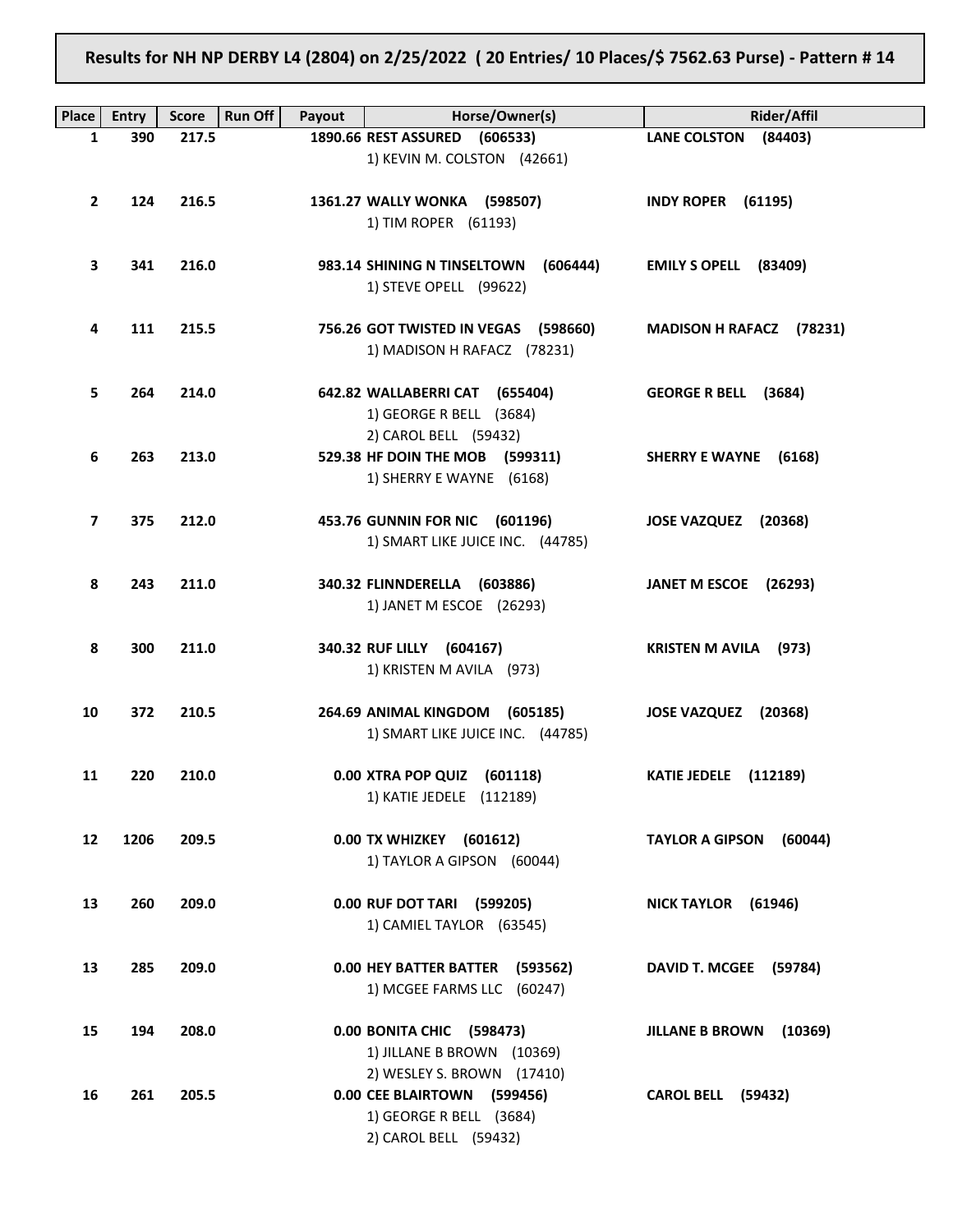Results for NH NP DERBY L4 (2804) on 2/25/2022 ( 20 Entries/ 10 Places/\$ 7562.63 Purse) - Pattern # 14

| Place        | <b>Entry</b> | <b>Score</b> | <b>Run Off</b><br>Payout | Horse/Owner(s)                                            | <b>Rider/Affil</b>           |
|--------------|--------------|--------------|--------------------------|-----------------------------------------------------------|------------------------------|
| 1            | 390          | 217.5        |                          | 1890.66 REST ASSURED (606533)                             | LANE COLSTON (84403)         |
|              |              |              |                          | 1) KEVIN M. COLSTON (42661)                               |                              |
| $\mathbf{2}$ | 124          | 216.5        |                          | 1361.27 WALLY WONKA (598507)                              | <b>INDY ROPER (61195)</b>    |
|              |              |              |                          | 1) TIM ROPER (61193)                                      |                              |
|              |              |              |                          |                                                           |                              |
| 3            | 341          | 216.0        |                          | 983.14 SHINING N TINSELTOWN<br>(606444)                   | EMILY S OPELL (83409)        |
|              |              |              |                          | 1) STEVE OPELL (99622)                                    |                              |
|              |              |              |                          |                                                           |                              |
| 4            | 111          | 215.5        |                          | 756.26 GOT TWISTED IN VEGAS (598660)                      | MADISON H RAFACZ (78231)     |
|              |              |              |                          | 1) MADISON H RAFACZ (78231)                               |                              |
|              |              |              |                          |                                                           |                              |
| 5            | 264          | 214.0        |                          | 642.82 WALLABERRI CAT (655404)<br>1) GEORGE R BELL (3684) | GEORGE R BELL (3684)         |
|              |              |              |                          | 2) CAROL BELL (59432)                                     |                              |
| 6            | 263          | 213.0        |                          | 529.38 HF DOIN THE MOB (599311)                           | SHERRY E WAYNE (6168)        |
|              |              |              |                          | 1) SHERRY E WAYNE (6168)                                  |                              |
|              |              |              |                          |                                                           |                              |
| 7            | 375          | 212.0        |                          | 453.76 GUNNIN FOR NIC (601196)                            | JOSE VAZQUEZ (20368)         |
|              |              |              |                          | 1) SMART LIKE JUICE INC. (44785)                          |                              |
|              |              |              |                          |                                                           |                              |
| 8            | 243          | 211.0        |                          | 340.32 FLINNDERELLA (603886)<br>1) JANET M ESCOE (26293)  | JANET M ESCOE (26293)        |
|              |              |              |                          |                                                           |                              |
| 8            | 300          | 211.0        |                          | 340.32 RUF LILLY (604167)                                 | <b>KRISTEN M AVILA</b> (973) |
|              |              |              |                          | 1) KRISTEN M AVILA (973)                                  |                              |
|              |              |              |                          |                                                           |                              |
| 10           | 372          | 210.5        |                          | 264.69 ANIMAL KINGDOM (605185)                            | JOSE VAZQUEZ (20368)         |
|              |              |              |                          | 1) SMART LIKE JUICE INC. (44785)                          |                              |
| 11           | 220          | 210.0        |                          | 0.00 XTRA POP QUIZ (601118)                               | <b>KATIE JEDELE</b> (112189) |
|              |              |              |                          | 1) KATIE JEDELE (112189)                                  |                              |
|              |              |              |                          |                                                           |                              |
| 12           | 1206         | 209.5        |                          | 0.00 TX WHIZKEY (601612)                                  | TAYLOR A GIPSON (60044)      |
|              |              |              |                          | 1) TAYLOR A GIPSON (60044)                                |                              |
|              |              |              |                          |                                                           |                              |
| 13           | 260          | 209.0        |                          | 0.00 RUF DOT TARI (599205)                                | NICK TAYLOR (61946)          |
|              |              |              |                          | 1) CAMIEL TAYLOR (63545)                                  |                              |
| 13           | 285          | 209.0        |                          | 0.00 HEY BATTER BATTER (593562)                           | DAVID T. MCGEE (59784)       |
|              |              |              |                          | 1) MCGEE FARMS LLC (60247)                                |                              |
|              |              |              |                          |                                                           |                              |
| 15           | 194          | 208.0        |                          | 0.00 BONITA CHIC (598473)                                 | JILLANE B BROWN (10369)      |
|              |              |              |                          | 1) JILLANE B BROWN (10369)                                |                              |
|              |              |              |                          | 2) WESLEY S. BROWN (17410)                                |                              |
| 16           | 261          | 205.5        |                          | 0.00 CEE BLAIRTOWN (599456)                               | <b>CAROL BELL (59432)</b>    |
|              |              |              |                          | 1) GEORGE R BELL (3684)                                   |                              |
|              |              |              |                          | 2) CAROL BELL (59432)                                     |                              |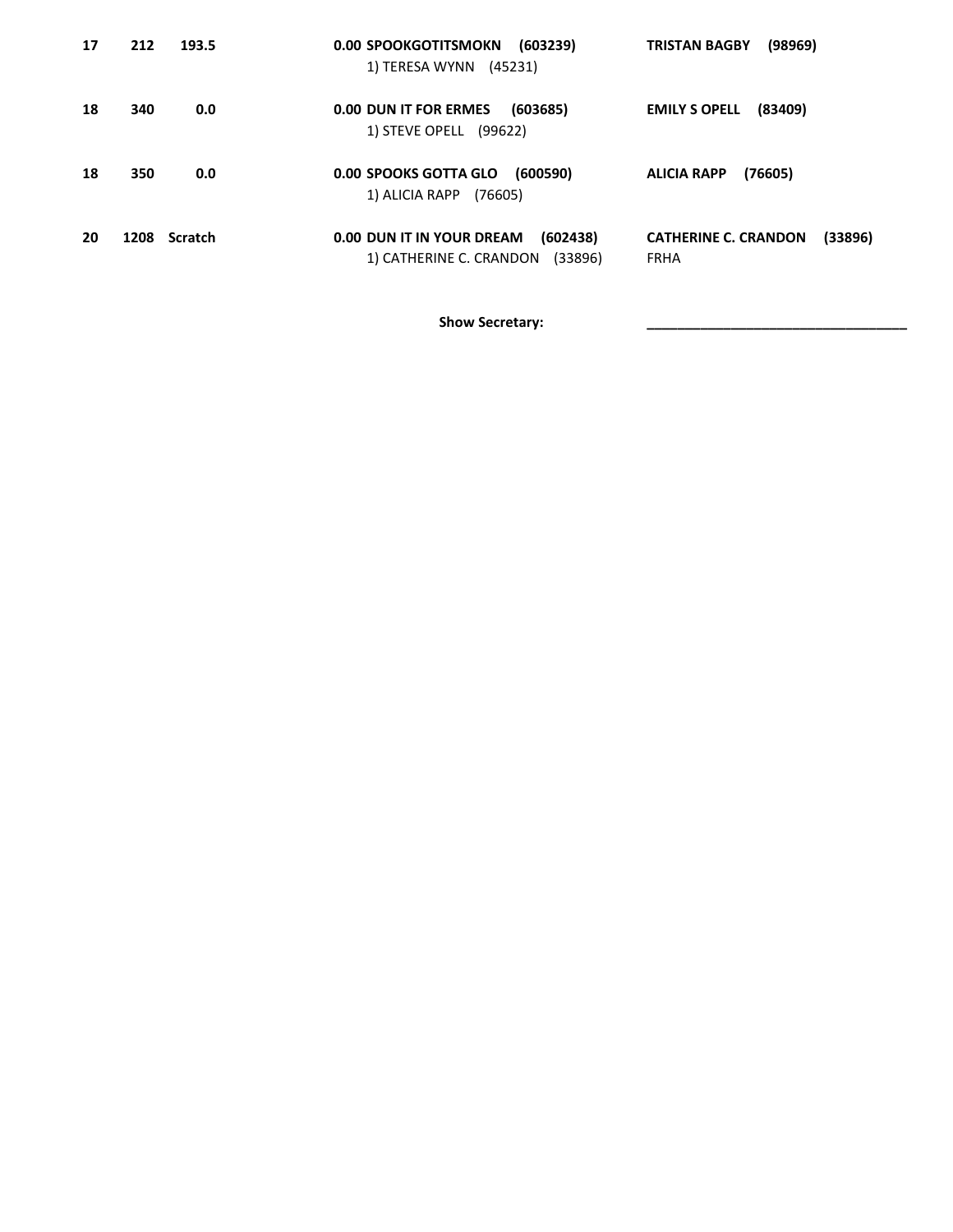| 17 | 212 | 193.5        | 0.00 SPOOKGOTITSMOKN (603239)<br>1) TERESA WYNN (45231)                     | <b>TRISTAN BAGBY</b><br>(98969)                       |
|----|-----|--------------|-----------------------------------------------------------------------------|-------------------------------------------------------|
| 18 | 340 | 0.0          | 0.00 DUN IT FOR ERMES<br>(603685)<br>1) STEVE OPELL (99622)                 | (83409)<br><b>EMILY S OPELL</b>                       |
| 18 | 350 | 0.0          | 0.00 SPOOKS GOTTA GLO (600590)<br>1) ALICIA RAPP (76605)                    | (76605)<br><b>ALICIA RAPP</b>                         |
| 20 |     | 1208 Scratch | 0.00 DUN IT IN YOUR DREAM<br>(602438)<br>1) CATHERINE C. CRANDON<br>(33896) | (33896)<br><b>CATHERINE C. CRANDON</b><br><b>FRHA</b> |

Show Secretary: